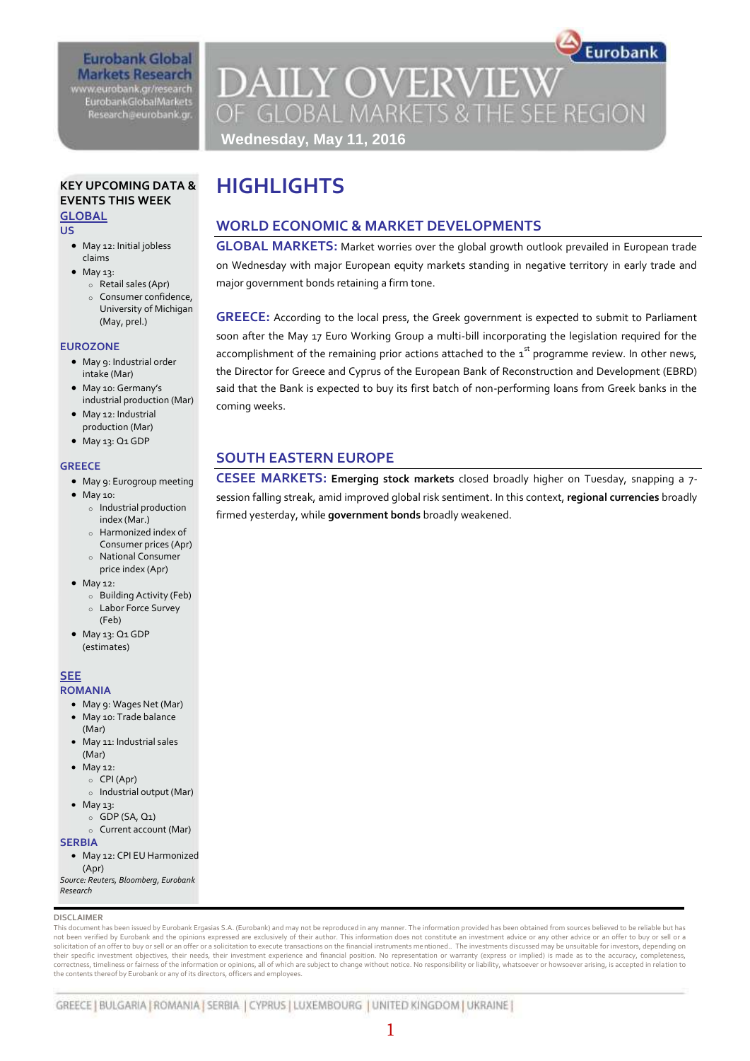# **Eurobank Global Markets Research**

www.eurobank.gr/research **EurobankGlobalMarkets** Research@eurobank.gr

# Eurobank **DAILY OVERVIEW** OF GLOBAL MARKETS & THE SEE REGION **Wednesday, May 11, 2016**

### **KEY UPCOMING DATA & EVENTS THIS WEEK GLOBAL**

**US** 

- May 12: Initial jobless claims
- $\bullet$  May 13:
	- o Retail sales (Apr)
	- o Consumer confidence, University of Michigan (May, prel.)

### **EUROZONE**

- May 9: Industrial order intake (Mar)
- May 10: Germany's industrial production (Mar)
- May 12: Industrial production (Mar)
- May 13: Q1 GDP

#### **GREECE**

- May 9: Eurogroup meeting
- May 10:
	- o Industrial production index (Mar.)
	- o Harmonized index of Consumer prices (Apr)
	- o National Consumer price index (Apr)
- May 12:
	- o Building Activity (Feb)
	- o Labor Force Survey
	- (Feb)
- May 13: Q1 GDP (estimates)

# **SEE**

### **ROMANIA**

- May 9: Wages Net (Mar)
- May 10: Trade balance (Mar)
- May 11: Industrial sales (Mar)
- May 12:
	- o CPI (Apr)
	- o Industrial output (Mar)
- May 13:
	- $O$  GDP (SA, Q<sub>1</sub>)
	- o Current account (Mar)

#### **SERBIA**

- May 12: CPI EU Harmonized
- (Apr) *Source: Reuters, Bloomberg, Eurobank*
- *Research*

#### **DISCLAIMER**

This document has been issued by Eurobank Ergasias S.A. (Eurobank) and may not be reproduced in any manner. The information provided has been obtained from sources believed to be reliable but has not been verified by Eurobank and the opinions expressed are exclusively of their author. This information does not constitute an investment advice or any other advice or an offer to buy or sell or a solicitation of an offer to buy or sell or an offer or a solicitation to execute transactions on the financial instruments mentioned.. The investments discussed may be unsuitable for investors, depending on<br>their specific correctness, timeliness or fairness of the information or opinions, all of which are subject to change without notice. No responsibility or liability, whatsoever or howsoever arising, is accepted in relation to the contents thereof by Eurobank or any of its directors, officers and employees.

# **HIGHLIGHTS**

# **WORLD ECONOMIC & MARKET DEVELOPMENTS**

**GLOBAL MARKETS:** Market worries over the global growth outlook prevailed in European trade on Wednesday with major European equity markets standing in negative territory in early trade and major government bonds retaining a firm tone.

**GREECE:** According to the local press, the Greek government is expected to submit to Parliament soon after the May 17 Euro Working Group a multi-bill incorporating the legislation required for the accomplishment of the remaining prior actions attached to the  $1<sup>st</sup>$  programme review. In other news, the Director for Greece and Cyprus of the European Bank of Reconstruction and Development (EBRD) said that the Bank is expected to buy its first batch of non-performing loans from Greek banks in the coming weeks.

# **SOUTH EASTERN EUROPE**

**CESEE MARKETS: Emerging stock markets** closed broadly higher on Tuesday, snapping a 7 session falling streak, amid improved global risk sentiment. In this context, **regional currencies** broadly firmed yesterday, while **government bonds** broadly weakened.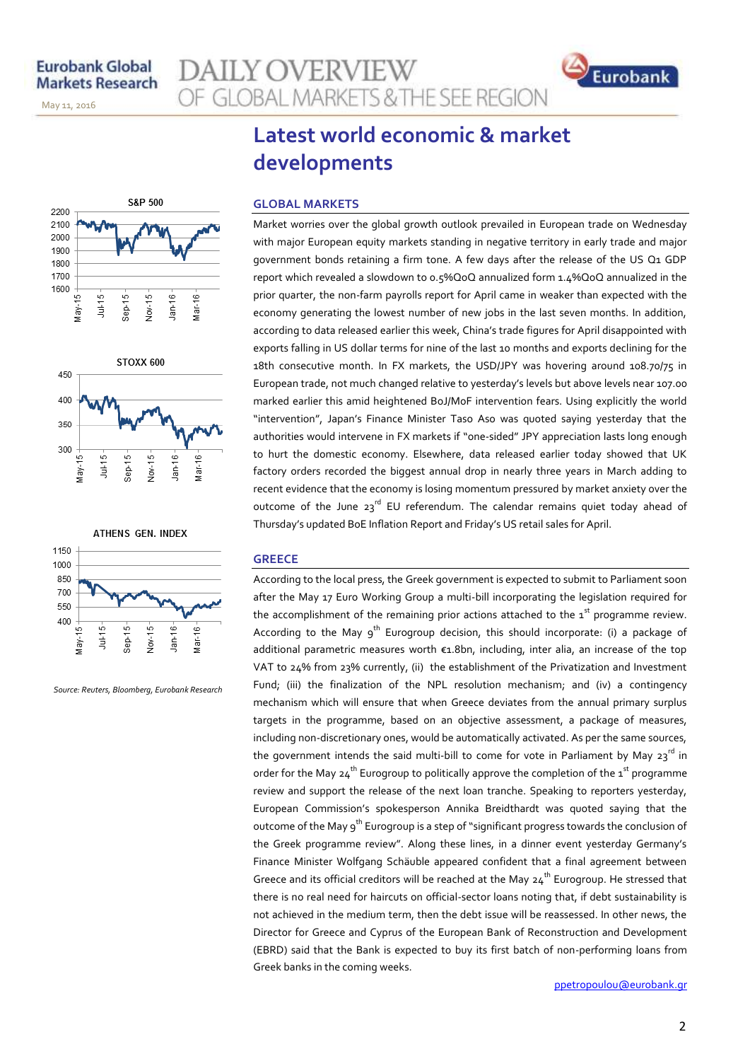November 14, 2013

May 11, 2016

# **AILY OVERVIEW** OF GLOBAL MARKETS & THE SEE REGION



# **Latest world economic & market developments**

#### **GLOBAL MARKETS**

Market worries over the global growth outlook prevailed in European trade on Wednesday with major European equity markets standing in negative territory in early trade and major government bonds retaining a firm tone. A few days after the release of the US Q1 GDP report which revealed a slowdown to 0.5%QoQ annualized form 1.4%QoQ annualized in the prior quarter, the non-farm payrolls report for April came in weaker than expected with the economy generating the lowest number of new jobs in the last seven months. In addition, according to data released earlier this week, China's trade figures for April disappointed with exports falling in US dollar terms for nine of the last 10 months and exports declining for the 18th consecutive month. In FX markets, the USD/JPY was hovering around 108.70/75 in European trade, not much changed relative to yesterday's levels but above levels near 107.00 marked earlier this amid heightened BoJ/MoF intervention fears. Using explicitly the world "intervention", Japan's Finance Minister Taso Aso was quoted saying yesterday that the authorities would intervene in FX markets if "one-sided" JPY appreciation lasts long enough to hurt the domestic economy. Elsewhere, data released earlier today showed that UK factory orders recorded the biggest annual drop in nearly three years in March adding to recent evidence that the economy is losing momentum pressured by market anxiety over the outcome of the June  $23^{rd}$  EU referendum. The calendar remains quiet today ahead of Thursday's updated BoE Inflation Report and Friday's US retail sales for April.

#### **GREECE**

According to the local press, the Greek government is expected to submit to Parliament soon after the May 17 Euro Working Group a multi-bill incorporating the legislation required for the accomplishment of the remaining prior actions attached to the  $1<sup>st</sup>$  programme review. According to the May  $9^{th}$  Eurogroup decision, this should incorporate: (i) a package of additional parametric measures worth €1.8bn, including, inter alia, an increase of the top VAT to 24% from 23% currently, (ii) the establishment of the Privatization and Investment Fund; (iii) the finalization of the NPL resolution mechanism; and (iv) a contingency mechanism which will ensure that when Greece deviates from the annual primary surplus targets in the programme, based on an objective assessment, a package of measures, including non-discretionary ones, would be automatically activated. As per the same sources, the government intends the said multi-bill to come for vote in Parliament by May  $23^{rd}$  in order for the May 24  $^{\rm th}$  Eurogroup to politically approve the completion of the 1st programme review and support the release of the next loan tranche. Speaking to reporters yesterday, European Commission's spokesperson Annika Breidthardt was quoted saying that the outcome of the May  $9^{th}$  Eurogroup is a step of "significant progress towards the conclusion of the Greek programme review". Along these lines, in a dinner event yesterday Germany's Finance Minister Wolfgang Schäuble appeared confident that a final agreement between Greece and its official creditors will be reached at the May  $24<sup>th</sup>$  Eurogroup. He stressed that there is no real need for haircuts on official-sector loans noting that, if debt sustainability is not achieved in the medium term, then the debt issue will be reassessed. In other news, the Director for Greece and Cyprus of the European Bank of Reconstruction and Development (EBRD) said that the Bank is expected to buy its first batch of non-performing loans from Greek banks in the coming weeks.

ppetropoulou@eurobank.gr







*Source: Reuters, Bloomberg, Eurobank Research*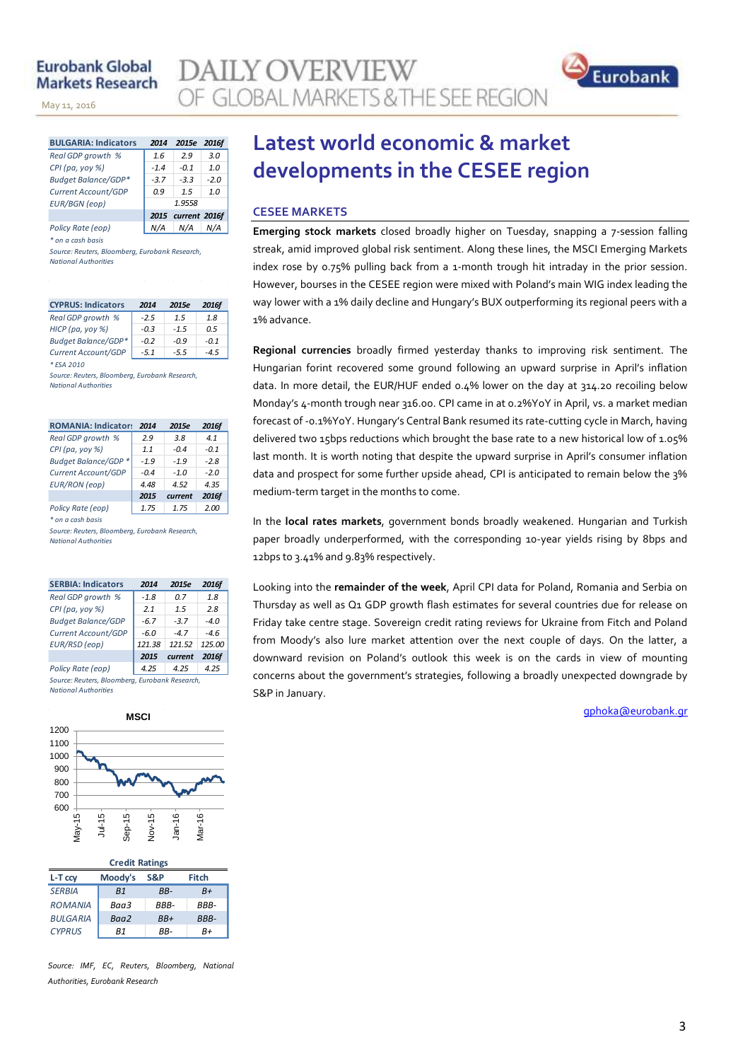## **Furobank Global Markets Research**

November 14, 2013

**AILY OVERVIEW** OF GLOBAL MARKETS & THE SEE REGION



May 11, 2016

| <b>BULGARIA: Indicators</b> | 2014   | 2015e              | 2016f  |  |  |  |
|-----------------------------|--------|--------------------|--------|--|--|--|
| Real GDP growth %           | 1.6    | 29                 | 3.0    |  |  |  |
| CPI (pa, yoy %)             | $-1.4$ | $-0.1$             | 1.0    |  |  |  |
| Budget Balance/GDP*         | $-3.7$ | $-3.3$             | $-2.0$ |  |  |  |
| <b>Current Account/GDP</b>  | 0.9    | 1.5                | 1.0    |  |  |  |
| <b>EUR/BGN</b> (eop)        | 1.9558 |                    |        |  |  |  |
|                             |        | 2015 current 2016f |        |  |  |  |
| Policy Rate (eop)           |        | N/A                |        |  |  |  |

*\* on a cash basis*

*Source: Reuters, Bloomberg, Eurobank Research, National Authorities*

| <b>CYPRUS: Indicators</b>  | 2014   | 2015e  | 2016f  |
|----------------------------|--------|--------|--------|
| Real GDP growth %          | $-2.5$ | 1.5    | 1.8    |
| HICP (pa, yoy %)           | $-0.3$ | $-1.5$ | 0.5    |
| <b>Budget Balance/GDP*</b> | $-0.2$ | $-0.9$ | $-0.1$ |
| Current Account/GDP        | $-5.1$ | $-5.5$ | -4.5   |
| * ESA 2010                 |        |        |        |

*Source: Reuters, Bloomberg, Eurobank Research, National Authorities*

| <b>ROMANIA: Indicators</b>  | 2014   | 2015e   | 2016f  |
|-----------------------------|--------|---------|--------|
| Real GDP growth %           | 2.9    | 3.8     | 4.1    |
| CPI (pa, yoy %)             | 1.1    | $-0.4$  | $-0.1$ |
| <b>Budget Balance/GDP *</b> | $-1.9$ | $-1.9$  | $-2.8$ |
| Current Account/GDP         | $-0.4$ | $-1.0$  | $-2.0$ |
| <b>EUR/RON</b> (eop)        | 4.48   | 4.52    | 4.35   |
|                             | 2015   | current | 2016f  |
| Policy Rate (eop)           | 1.75   | 1.75    | 2.00   |

*\* on a cash basis*

*Source: Reuters, Bloomberg, Eurobank Research, National Authorities*

| <b>SERBIA: Indicators</b>                      | 2014   | 2015e   | 2016f  |  |  |  |  |  |
|------------------------------------------------|--------|---------|--------|--|--|--|--|--|
| Real GDP growth %                              | $-1.8$ | 0.7     | 1.8    |  |  |  |  |  |
| CPI (pa, yoy %)                                | 21     | 1.5     | 2.8    |  |  |  |  |  |
| <b>Budget Balance/GDP</b>                      | $-6.7$ | $-3.7$  | -40    |  |  |  |  |  |
| Current Account/GDP                            | -6.0   | $-47$   | $-4.6$ |  |  |  |  |  |
| EUR/RSD (eop)                                  | 121.38 | 121.52  | 125.00 |  |  |  |  |  |
|                                                | 2015   | current | 2016f  |  |  |  |  |  |
| Policy Rate (eop)                              | 4.25   | 4 25    | 4.25   |  |  |  |  |  |
| Source: Reuters, Bloomberg, Eurobank Research, |        |         |        |  |  |  |  |  |

*National Authorities*



| <b>Credit Ratings</b> |                |       |              |  |  |  |  |  |  |
|-----------------------|----------------|-------|--------------|--|--|--|--|--|--|
| L-T ccy               | Moody's        | S&P   | <b>Fitch</b> |  |  |  |  |  |  |
| <b>SERBIA</b>         | B <sub>1</sub> | RR-   | $B+$         |  |  |  |  |  |  |
| <b>ROMANIA</b>        | Baa3           | RRR-  | RRR-         |  |  |  |  |  |  |
| <b>BULGARIA</b>       | Baa2           | $BB+$ | BBB-         |  |  |  |  |  |  |
| <b>CYPRUS</b>         | R1             | RR-   |              |  |  |  |  |  |  |

*Source: IMF, EC, Reuters, Bloomberg, National Authorities, Eurobank Research*

# **Latest world economic & market developments in the CESEE region**

### **CESEE MARKETS**

**Emerging stock markets** closed broadly higher on Tuesday, snapping a 7-session falling streak, amid improved global risk sentiment. Along these lines, the MSCI Emerging Markets index rose by 0.75% pulling back from a 1-month trough hit intraday in the prior session. However, bourses in the CESEE region were mixed with Poland's main WIG index leading the way lower with a 1% daily decline and Hungary's BUX outperforming its regional peers with a 1% advance.

**Regional currencies** broadly firmed yesterday thanks to improving risk sentiment. The Hungarian forint recovered some ground following an upward surprise in April's inflation data. In more detail, the EUR/HUF ended 0.4% lower on the day at 314.20 recoiling below Monday's 4-month trough near 316.00. CPI came in at 0.2%YoY in April, vs. a market median forecast of -0.1%YoY. Hungary's Central Bank resumed its rate-cutting cycle in March, having delivered two 15bps reductions which brought the base rate to a new historical low of 1.05% last month. It is worth noting that despite the upward surprise in April's consumer inflation data and prospect for some further upside ahead, CPI is anticipated to remain below the 3% medium-term target in the months to come.

In the **local rates markets**, government bonds broadly weakened. Hungarian and Turkish paper broadly underperformed, with the corresponding 10-year yields rising by 8bps and 12bps to 3.41% and 9.83% respectively.

Looking into the **remainder of the week**, April CPI data for Poland, Romania and Serbia on Thursday as well as Q1 GDP growth flash estimates for several countries due for release on Friday take centre stage. Sovereign credit rating reviews for Ukraine from Fitch and Poland from Moody's also lure market attention over the next couple of days. On the latter, a downward revision on Poland's outlook this week is on the cards in view of mounting concerns about the government's strategies, following a broadly unexpected downgrade by S&P in January.

gphoka@eurobank.gr

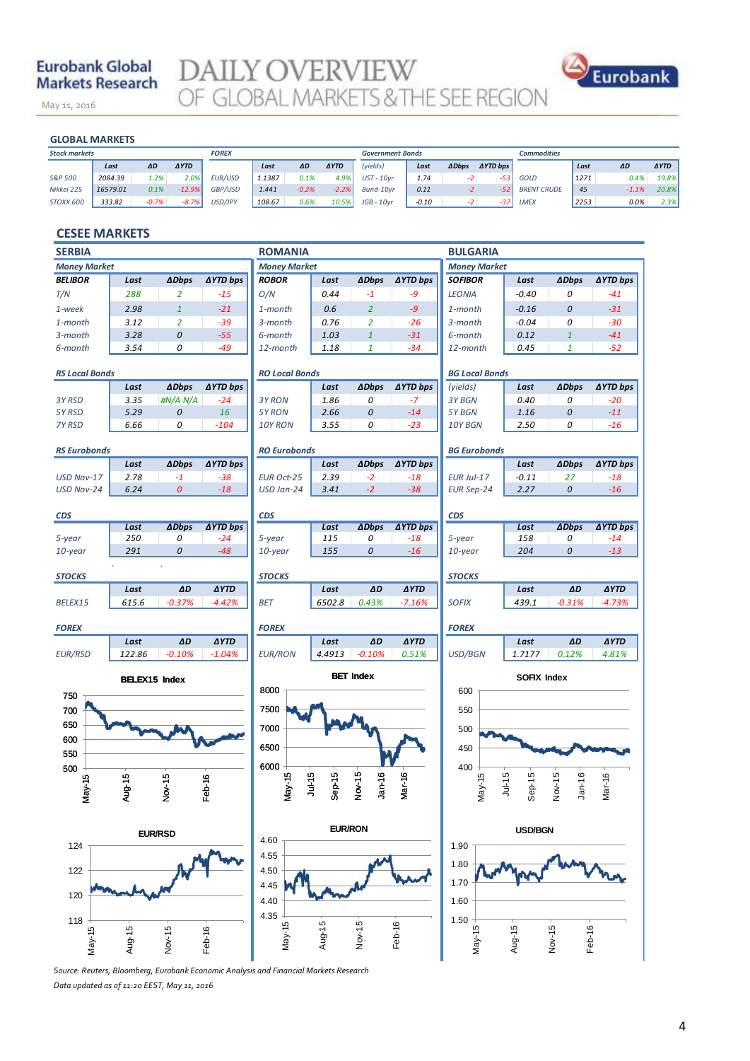## **Eurobank Global Markets Research**

November 14, 2013

May 11, 2016

**DAILY OVERVIEW**<br>OF GLOBAL MARKETS & THE SEE REGION



#### **GLOBAL MARKETS**

| <b>GLOBAL MARKETS</b> |          |         |             |              |        |         |             |                         |         |              |                 |                    |      |         |             |
|-----------------------|----------|---------|-------------|--------------|--------|---------|-------------|-------------------------|---------|--------------|-----------------|--------------------|------|---------|-------------|
| <b>Stock markets</b>  |          |         |             | <b>FOREX</b> |        |         |             | <b>Government Bonds</b> |         |              |                 | <b>Commodities</b> |      |         |             |
|                       | Last     | ΔD      | <b>AYTD</b> |              | Last   | ΔD      | <b>AYTD</b> | (yields)                | Last    | <b>ADbps</b> | <b>AYTD bps</b> |                    | Last | ΔD      | <b>AYTD</b> |
| S&P 500               | 2084.39  | 1.2%    | 2.0%        | EUR/USD      | 1.1387 | 0.1%    | 4.9%        | $UST - 10vr$            | 1.74    | -2.          | -53             | <b>GOLD</b>        | 1271 | 0.4%    | 19.8%       |
| Nikkei 225            | 16579.01 | 0.1%    | $-12.9%$    | GBP/USD      | 1.441  | $-0.2%$ | $-2.2%$     | Bund-10vr               | 0.11    | $-2$         | -52             | <b>BRENT CRUDE</b> | 45   | $-1.1%$ | 20.8%       |
| STOXX 600             | 333.82   | $-0.7%$ | $-8.7%$     | USD/JPY      | 108.67 | 0.6%    | 10.5%       | $JGB - 10$ vr           | $-0.10$ | -2           | $-37$           | <b>LMEX</b>        | 2253 | 0.0%    | 2.3%        |
|                       |          |         |             |              |        |         |             |                         |         |              |                 |                    |      |         |             |

### **CESEE MARKETS**

| <b>SERBIA</b>         | <b>ROMANIA</b><br><b>BULGARIA</b> |                |                 |                        |                     |                    |                 |                           |                 |                    |                 |
|-----------------------|-----------------------------------|----------------|-----------------|------------------------|---------------------|--------------------|-----------------|---------------------------|-----------------|--------------------|-----------------|
| <b>Money Market</b>   |                                   |                |                 | <b>Money Market</b>    |                     |                    |                 | <b>Money Market</b>       |                 |                    |                 |
| <b>BELIBOR</b>        | Last                              | <b>ADbps</b>   | ∆YTD bps        | <b>ROBOR</b>           | Last                | <b>ADbps</b>       | <b>AYTD bps</b> | <b>SOFIBOR</b>            | Last            | <b>ADbps</b>       | <b>∆YTD bps</b> |
| T/N                   | 288                               | $\overline{2}$ | $-15$           | O/N                    | 0.44                | $-1$               | -9              | <b>LEONIA</b>             | $-0.40$         | 0                  | $-41$           |
| 1-week                | 2.98                              | $\mathbf{1}$   | $-21$           | 1-month                | 0.6                 | $\overline{2}$     | $-9$            | 1-month                   | $-0.16$         | 0                  | $-31$           |
| 1-month               | 3.12                              | $\overline{2}$ | $-39$           | $3$ -month             | 0.76                | $\overline{2}$     | $-26$           | 3-month                   | $-0.04$         | 0                  | $-30$           |
| 3-month               | 3.28                              | 0              | $-55$           | 6-month                | 1.03                | $\mathbf{1}$       | $-31$           | 6-month                   | 0.12            | $\mathbf{1}$       | $-41$           |
| 6-month               | 3.54                              | 0              | $-49$           | 12-month               | 1.18                | $\mathbf{1}$       | $-34$           | 12-month                  | 0.45            | $\mathbf{1}$       | $-52$           |
| <b>RS Local Bonds</b> |                                   |                |                 | <b>RO Local Bonds</b>  |                     |                    |                 | <b>BG Local Bonds</b>     |                 |                    |                 |
|                       | Last                              | <b>ADbps</b>   | ∆YTD bps        |                        | Last                | <b>ADbps</b>       | <b>AYTD bps</b> | (yields)                  | Last            | <b>ADbps</b>       | <b>∆YTD bps</b> |
| 3Y RSD                | 3.35                              | #N/A N/A       | $-24$           | 3Y RON                 | 1.86                | 0                  | $-7$            | 3Y BGN                    | 0.40            | 0                  | $-20$           |
| 5Y RSD                | 5.29                              | 0              | 16              | 5Y RON                 | 2.66                | 0                  | $-14$           | 5Y BGN                    | 1.16            | 0                  | $-11$           |
| 7Y RSD                | 6.66                              | 0              | $-104$          | 10Y RON                | 3.55                | 0                  | $-23$           | 10Y BGN                   | 2.50            | 0                  | $-16$           |
| <b>RS Eurobonds</b>   |                                   |                |                 | <b>RO Eurobonds</b>    |                     |                    |                 | <b>BG Eurobonds</b>       |                 |                    |                 |
|                       | Last                              | <b>ADbps</b>   | ∆YTD bps        |                        | Last                | <b>ADbps</b>       | <b>∆YTD bps</b> |                           | Last            | <b>ADbps</b>       | <b>∆YTD bps</b> |
| USD Nov-17            | 2.78                              | $-1$           | $-38$           | <b>EUR Oct-25</b>      | 2.39                | $-2$               | $-18$           | EUR Jul-17                | $-0.11$         | 27                 | $-18$           |
| USD Nov-24            | 6.24                              | 0              | $-18$           | USD Jan-24             | 3.41                | $-2$               | $-38$           | <b>EUR Sep-24</b>         | 2.27            | 0                  | $-16$           |
| <b>CDS</b>            |                                   |                |                 | <b>CDS</b>             |                     |                    |                 | CDS                       |                 |                    |                 |
|                       | Last                              | <b>ADbps</b>   | <b>AYTD bps</b> |                        | Last                | <b>ADbps</b>       | <b>AYTD bps</b> |                           | Last            | <b>ADbps</b>       | <b>AYTD bps</b> |
| 5-year                | 250                               | 0              | $-24$           | 5-year                 | 115                 | 0                  | $-18$           | 5-year                    | 158             | 0                  | $-14$           |
| $10$ -year            | 291                               | 0              | $-48$           | $10$ -year             | 155                 | 0                  | $-16$           | $10$ -year                | 204             | 0                  | $-13$           |
| <b>STOCKS</b>         |                                   |                |                 | <b>STOCKS</b>          |                     |                    |                 | <b>STOCKS</b>             |                 |                    |                 |
|                       | Last                              | ΔD             | <b>AYTD</b>     |                        | Last                | ΔD                 | <b>AYTD</b>     |                           | Last            | AD                 | <b>AYTD</b>     |
| BELEX15               | 615.6                             | $-0.37%$       | $-4.42%$        | <b>BET</b>             | 6502.8              | 0.43%              | $-7.16%$        | <b>SOFIX</b>              | 439.1           | $-0.31%$           | $-4.73%$        |
| <b>FOREX</b>          |                                   |                |                 | <b>FOREX</b>           |                     |                    |                 | <b>FOREX</b>              |                 |                    |                 |
|                       | Last                              | ΔD             | <b>AYTD</b>     |                        | Last                | ΔD                 | <b>AYTD</b>     |                           | Last            | AD                 | <b>AYTD</b>     |
| <b>EUR/RSD</b>        | 122.86                            | $-0.10%$       | $-1.04%$        | <b>EUR/RON</b>         | 4.4913              | $-0.10%$           | 0.51%           | USD/BGN                   | 1.7177          | 0.12%              | 4.81%           |
|                       | <b>BELEX15 Index</b>              |                |                 | 8000                   |                     | <b>BET Index</b>   |                 | <b>SOFIX Index</b><br>600 |                 |                    |                 |
| 750                   |                                   |                |                 |                        |                     |                    |                 |                           |                 |                    |                 |
| 700                   |                                   |                |                 | 7500                   |                     |                    |                 | 550                       |                 |                    |                 |
| 650                   |                                   |                |                 | 7000                   |                     |                    |                 | 500                       |                 |                    |                 |
| 600                   |                                   |                |                 |                        |                     |                    |                 |                           |                 |                    |                 |
| 550                   |                                   |                |                 | 6500                   |                     |                    |                 | 450                       |                 |                    |                 |
| 500                   |                                   |                |                 | 6000                   |                     |                    |                 | 400                       |                 |                    |                 |
| May-15                | Aug-15                            | Nov-15         | Feb-16          | May-15                 | $Sep-15$<br>$Ju+15$ | $Jan-16$<br>Nov-15 | Mar-16          | $May-15$                  | Jul-15<br>Sep15 | Nov-15<br>$Jan-16$ | Mar-16          |
|                       |                                   |                |                 |                        |                     |                    |                 |                           |                 |                    |                 |
|                       |                                   |                |                 |                        |                     |                    |                 |                           |                 |                    |                 |
| <b>EUR/RSD</b>        |                                   |                |                 | <b>EUR/RON</b><br>4.60 |                     |                    |                 | <b>USD/BGN</b>            |                 |                    |                 |
| 124                   |                                   |                |                 | 4.55                   |                     |                    |                 | 1.90                      |                 |                    |                 |
|                       |                                   |                |                 |                        |                     |                    |                 | 1.80                      |                 |                    |                 |
| 122                   |                                   |                |                 | 4.50                   |                     |                    |                 | 1.70                      |                 |                    |                 |
| 120                   |                                   |                |                 | 4.45                   |                     |                    |                 |                           |                 |                    |                 |
|                       |                                   |                |                 | 4.40                   |                     |                    |                 | 1.60                      |                 |                    |                 |
| 118                   |                                   |                |                 | 4.35                   |                     |                    |                 | 1.50                      |                 |                    |                 |
|                       |                                   |                |                 | $May-15$               | Aug-15              | Nov-15             | Feb-16          |                           |                 |                    |                 |
| $May-15$              | Aug-15                            | Nov-15         | Feb-16          |                        |                     |                    |                 | $May-15$                  | Aug-15          | Nov-15<br>Feb-16   |                 |
|                       |                                   |                |                 |                        |                     |                    |                 |                           |                 |                    |                 |

*Source: Reuters, Bloomberg, Eurobank Economic Analysis and Financial Markets Research Data updated as of 11:20 EEST, May 11, 2016*